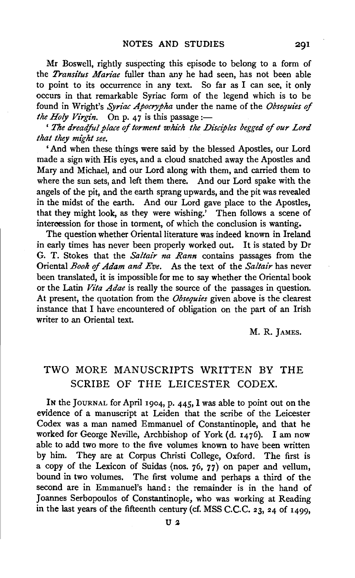Mr Boswell, rightly suspecting this episode to belong to a form of the *Transitus Mariae* fuller than any he had seen, has not been able to point to its occurrence in any text. So far as I can see, it only occurs in that remarkable Syriac form of the legend which is to be found in Wright's *Syriac Apocrypha* under the name of the *Obsequies* of *the Holy Virgin.* On p. 47 is this passage :-

' *The dreadful place* of *torment whi'ch the Disciples begged* of *our Lord that they mi'ght see.* 

'And when these things were said by the blessed Apostles, our Lord made a sign with His eyes, and a cloud snatched away the Apostles and Mary and Michael, and our Lord along with them, and carried them to where the sun sets, and left them there. And our Lord spake with the angels of the pit, and the earth sprang upwards, and the pit was revealed in the midst of the earth. And our Lord gave place to the Apostles, that they might look, as they were wishing.' Then follows a scene of intercession for those in torment, of which the conclusion is wanting.

The question whether Oriental literature was indeed known in Ireland in early times has never been properly worked out. It is stated by Dr G. T. Stokes that the *Saltair na Rann* contains passages from the Oriental *Book* of *Adam and Eve.* As the text of the *Saltair* has never been translated, it is impossible for me to say whether the Oriental book or the Latin *Vita Adae* is really the source of the passages in question. At present, the quotation from the *Obsequies* given above is the clearest instance that I have encountered of obligation on the part of an Irish writer to an Oriental text.

M. R. JAMES.

## TWO MORE MANUSCRIPTS WRITTEN BY THE SCRIBE OF THE LEICESTER CODEX.

IN the JouRNAL for April 1904, p. 445, I was able to point out on the evidence of a manuscript at Leiden that the scribe of the Leicester Codex was a man named Emmanuel of Constantinople, and that he worked for George Neville, Archbishop of York (d. 1476). I am now able to add two more to the five volumes known to have been written by him. They are at Corpus Christi College, Oxford. The first is a copy of the Lexicon of Suidas (nos. 76, 77) on paper and vellum, bound in two volumes. The first volume and perhaps a third of the second are in Emmanuel's hand: the remainder is in the hand of Joannes Serbopoulos of Constantinople, who was working at Reading in the last years of the fifteenth century (cf. MSS C.C.C. 23, 24 of 1499,